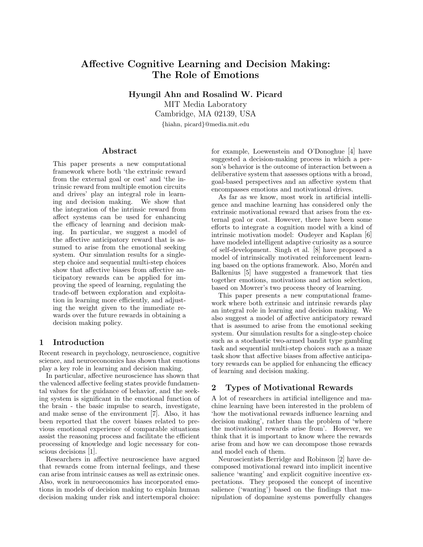# Affective Cognitive Learning and Decision Making: The Role of Emotions

Hyungil Ahn and Rosalind W. Picard MIT Media Laboratory Cambridge, MA 02139, USA {hiahn, picard}@media.mit.edu

## Abstract

This paper presents a new computational framework where both 'the extrinsic reward from the external goal or cost' and 'the intrinsic reward from multiple emotion circuits and drives' play an integral role in learning and decision making. We show that the integration of the intrinsic reward from affect systems can be used for enhancing the efficacy of learning and decision making. In particular, we suggest a model of the affective anticipatory reward that is assumed to arise from the emotional seeking system. Our simulation results for a singlestep choice and sequential multi-step choices show that affective biases from affective anticipatory rewards can be applied for improving the speed of learning, regulating the trade-off between exploration and exploitation in learning more efficiently, and adjusting the weight given to the immediate rewards over the future rewards in obtaining a decision making policy.

## 1 Introduction

Recent research in psychology, neuroscience, cognitive science, and neuroeconomics has shown that emotions play a key role in learning and decision making.

In particular, affective neuroscience has shown that the valenced affective feeling states provide fundamental values for the guidance of behavior, and the seeking system is significant in the emotional function of the brain - the basic impulse to search, investigate, and make sense of the environment [7]. Also, it has been reported that the covert biases related to previous emotional experience of comparable situations assist the reasoning process and facilitate the efficient processing of knowledge and logic necessary for conscious decisions [1].

Researchers in affective neuroscience have argued that rewards come from internal feelings, and these can arise from intrinsic causes as well as extrinsic ones. Also, work in neuroeconomics has incorporated emotions in models of decision making to explain human decision making under risk and intertemporal choice: for example, Loewenstein and O'Donoghue [4] have suggested a decision-making process in which a person's behavior is the outcome of interaction between a deliberative system that assesses options with a broad, goal-based perspectives and an affective system that encompasses emotions and motivational drives.

As far as we know, most work in artificial intelligence and machine learning has considered only the extrinsic motivational reward that arises from the external goal or cost. However, there have been some efforts to integrate a cognition model with a kind of intrinsic motivation model: Oudeyer and Kaplan [6] have modeled intelligent adaptive curiosity as a source of self-development. Singh et al. [8] have proposed a model of intrinsically motivated reinforcement learning based on the options framework. Also, Morén and Balkenius [5] have suggested a framework that ties together emotions, motivations and action selection, based on Mowrer's two process theory of learning.

This paper presents a new computational framework where both extrinsic and intrinsic rewards play an integral role in learning and decision making. We also suggest a model of affective anticipatory reward that is assumed to arise from the emotional seeking system. Our simulation results for a single-step choice such as a stochastic two-armed bandit type gambling task and sequential multi-step choices such as a maze task show that affective biases from affective anticipatory rewards can be applied for enhancing the efficacy of learning and decision making.

# 2 Types of Motivational Rewards

A lot of researchers in artificial intelligence and machine learning have been interested in the problem of 'how the motivational rewards influence learning and decision making', rather than the problem of 'where the motivational rewards arise from'. However, we think that it is important to know where the rewards arise from and how we can decompose those rewards and model each of them.

Neuroscientists Berridge and Robinson [2] have decomposed motivational reward into implicit incentive salience 'wanting' and explicit cognitive incentive expectations. They proposed the concept of incentive salience ('wanting') based on the findings that manipulation of dopamine systems powerfully changes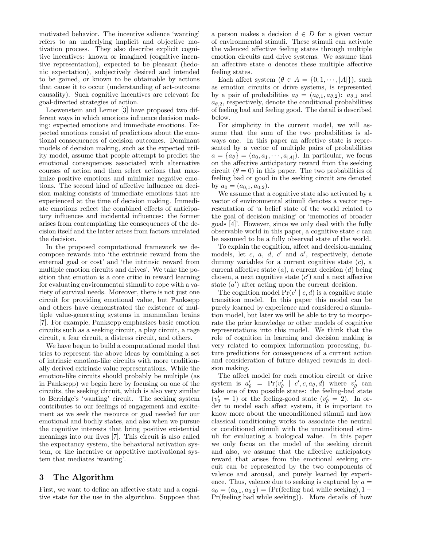motivated behavior. The incentive salience 'wanting' refers to an underlying implicit and objective motivation process. They also describe explicit cognitive incentives: known or imagined (cognitive incentive representation), expected to be pleasant (hedonic expectation), subjectively desired and intended to be gained, or known to be obtainable by actions that cause it to occur (understanding of act-outcome causality). Such cognitive incentives are relevant for goal-directed strategies of action.

Loewenstein and Lerner [3] have proposed two different ways in which emotions influence decision making: expected emotions and immediate emotions. Expected emotions consist of predictions about the emotional consequences of decision outcomes. Dominant models of decision making, such as the expected utility model, assume that people attempt to predict the emotional consequences associated with alternative courses of action and then select actions that maximize positive emotions and minimize negative emotions. The second kind of affective influence on decision making consists of immediate emotions that are experienced at the time of decision making. Immediate emotions reflect the combined effects of anticipatory influences and incidental influences: the former arises from contemplating the consequences of the decision itself and the latter arises from factors unrelated the decision.

In the proposed computational framework we decompose rewards into 'the extrinsic reward from the external goal or cost' and 'the intrinsic reward from multiple emotion circuits and drives'. We take the position that emotion is a core critic in reward learning for evaluating environmental stimuli to cope with a variety of survival needs. Moreover, there is not just one circuit for providing emotional value, but Panksepp and others have demonstrated the existence of multiple value-generating systems in mammalian brains [7]. For example, Panksepp emphasizes basic emotion circuits such as a seeking circuit, a play circuit, a rage circuit, a fear circuit, a distress circuit, and others.

We have begun to build a computational model that tries to represent the above ideas by combining a set of intrinsic emotion-like circuits with more traditionally derived extrinsic value representations. While the emotion-like circuits should probably be multiple (as in Panksepp) we begin here by focusing on one of the circuits, the seeking circuit, which is also very similar to Berridge's 'wanting' circuit. The seeking system contributes to our feelings of engagement and excitement as we seek the resource or goal needed for our emotional and bodily states, and also when we pursue the cognitive interests that bring positive existential meanings into our lives [7]. This circuit is also called the expectancy system, the behavioral activation system, or the incentive or appetitive motivational system that mediates 'wanting'.

## 3 The Algorithm

First, we want to define an affective state and a cognitive state for the use in the algorithm. Suppose that a person makes a decision  $d \in D$  for a given vector of environmental stimuli. These stimuli can activate the valenced affective feeling states through multiple emotion circuits and drive systems. We assume that an affective state a denotes these multiple affective feeling states.

Each affect system  $(\theta \in A = \{0, 1, \dots, |A|\})$ , such as emotion circuits or drive systems, is represented by a pair of probabilities  $a_{\theta} = (a_{\theta,1}, a_{\theta,2})$ :  $a_{\theta,1}$  and  $a_{\theta,2}$ , respectively, denote the conditional probabilities of feeling bad and feeling good. The detail is described below.

For simplicity in the current model, we will assume that the sum of the two probabilities is always one. In this paper an affective state is represented by a vector of multiple pairs of probabilities  $a = \{a_{\theta}\}\ = \{a_0, a_1, \cdots, a_{|A|}\}.$  In particular, we focus on the affective anticipatory reward from the seeking circuit  $(\theta = 0)$  in this paper. The two probabilities of feeling bad or good in the seeking circuit are denoted by  $a_0 = (a_{0,1}, a_{0,2}).$ 

We assume that a cognitive state also activated by a vector of environmental stimuli denotes a vector representation of 'a belief state of the world related to the goal of decision making' or 'memories of broader goals [4]'. However, since we only deal with the fully observable world in this paper, a cognitive state  $c$  can be assumed to be a fully observed state of the world.

To explain the cognition, affect and decision-making models, let c, a,  $\overline{d}$ , c' and a', respectively, denote dummy variables for a current cognitive state  $(c)$ , a current affective state  $(a)$ , a current decision  $(d)$  being chosen, a next cognitive state  $(c')$  and a next affective state  $(a')$  after acting upon the current decision.

The cognition model  $Pr(c' | c, d)$  is a cognitive state transition model. In this paper this model can be purely learned by experience and considered a simulation model, but later we will be able to try to incorporate the prior knowledge or other models of cognitive representations into this model. We think that the role of cognition in learning and decision making is very related to complex information processing, future predictions for consequences of a current action and consideration of future delayed rewards in decision making.

The affect model for each emotion circuit or drive system is  $a'_\theta = \Pr(v'_\theta \mid c', c, a_\theta, d)$  where  $v'_\theta$  can take one of two possible states: the feeling-bad state  $(v'_\theta = 1)$  or the feeling-good state  $(v'_\theta = 2)$ . In order to model each affect system, it is important to know more about the unconditioned stimuli and how classical conditioning works to associate the neutral or conditioned stimuli with the unconditioned stimuli for evaluating a biological value. In this paper we only focus on the model of the seeking circuit and also, we assume that the affective anticipatory reward that arises from the emotional seeking circuit can be represented by the two components of valence and arousal, and purely learned by experience. Thus, valence due to seeking is captured by  $a =$  $a_0 = (a_{0,1}, a_{0,2}) = (Pr(\text{feeling bad while seeking}), 1 -$ Pr(feeling bad while seeking)). More details of how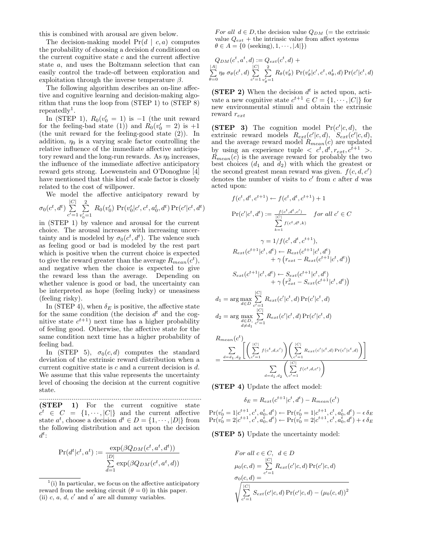this is combined with arousal are given below.

The decision-making model  $Pr(d \mid c, a)$  computes the probability of choosing a decision d conditioned on the current cognitive state  $c$  and the current affective state a, and uses the Boltzmann selection that can easily control the trade-off between exploration and exploitation through the inverse temperature  $\beta$ .

The following algorithm describes an on-line affective and cognitive learning and decision-making algorithm that runs the loop from (STEP 1) to (STEP 8) repeatedly<sup>1</sup>.

In (STEP 1),  $R_0(v'_0 = 1)$  is -1 (the unit reward for the feeling-bad state (1) and  $R_0(v'_0 = 2)$  is  $+1$ (the unit reward for the feeling-good state (2)). In addition,  $\eta_0$  is a varying scale factor controlling the relative influence of the immediate affective anticipatory reward and the long-run rewards. As  $\eta_0$  increases, the influence of the immediate affective anticipatory reward gets strong. Loewenstein and O'Donoghue [4] have mentioned that this kind of scale factor is closely related to the cost of willpower.

We model the affective anticipatory reward by  $\sigma_0(c^t, d^t) \, \sum^{|C|}_{ }$  $\frac{2}{2}$  $R_0(v_0') \Pr(v_0'|c', c^t, a_0^t, d^t) \Pr(c'|c^t, d^t)$ 

 $c' = 1$  $v'_0 = 1$ in (STEP 1) by valence and arousal for the current choice. The arousal increases with increasing uncertainty and is modeled by  $\sigma_0(c^t, d^t)$ . The valence such as feeling good or bad is modeled by the rest part which is positive when the current choice is expected to give the reward greater than the average  $R_{mean}(c^t)$ , and negative when the choice is expected to give the reward less than the average. Depending on whether valence is good or bad, the uncertainty can be interpreted as hope (feeling lucky) or uneasiness (feeling risky).

In (STEP 4), when  $\delta_E$  is positive, the affective state for the same condition (the decision  $d<sup>t</sup>$  and the cognitive state  $c^{t+1}$ ) next time has a higher probability of feeling good. Otherwise, the affective state for the same condition next time has a higher probability of feeling bad.

In (STEP 5),  $\sigma_0(c, d)$  computes the standard deviation of the extrinsic reward distribution when a current cognitive state is  $c$  and a current decision is  $d$ . We assume that this value represents the uncertainty level of choosing the decision at the current cognitive state.

..................................................................................... (STEP 1) For the current cognitive state  $c^t \in C = \{1, \dots, |C|\}$  and the current affective state  $a^t$ , choose a decision  $d^t \in D = \{1, \dots, |D|\}$  from the following distribution and act upon the decision  $d^t$ :

$$
\Pr(d^t|c^t,a^t) := \frac{\exp(\beta Q_{DM}(c^t,a^t,d^t))}{\sum\limits_{d=1}^{\vert D \vert}\exp(\beta Q_{DM}(c^t,a^t,d))}
$$

For all  $d \in D$ , the decision value  $Q_{DM}$  (= the extrinsic value  $Q_{ext}$  + the intrinsic value from affect systems  $\theta \in A = \{0 \text{ (seeking)}, 1, \cdots, |A|\}\$ 

$$
Q_{DM}(c^t, a^t, d) := Q_{ext}(c^t, d) +
$$
  

$$
\sum_{\theta=0}^{|A|} \eta_{\theta} \sigma_{\theta}(c^t, d) \sum_{c'=1}^{|C|} \sum_{v'_{\theta}=1}^{2} R_{\theta}(v'_{\theta}) \Pr(v'_{\theta}|c', c^t, a^t_{\theta}, d) \Pr(c'|c^t, d)
$$

(STEP 2) When the decision  $d^t$  is acted upon, activate a new cognitive state  $c^{t+1} \in C = \{1, \dots, |C|\}$  for new environmental stimuli and obtain the extrinsic reward  $r_{ext}$ 

(STEP 3) The cognition model  $Pr(c'|c, d)$ , the extrinsic reward models  $R_{ext}(c'|c, d)$ ,  $S_{ext}(c'|c, d)$ , and the average reward model  $R_{mean}(c)$  are updated by using an experience tuple  $\langle c^t, d^t, r_{ext}, c^{t+1} \rangle$ .  $R_{mean}(c)$  is the average reward for probably the two best choices  $(d_1 \text{ and } d_2)$  with which the greatest or the second greatest mean reward was given.  $f(c, d, c')$ denotes the number of visits to  $c'$  from  $c$  after  $d$  was acted upon:

$$
f(c^t, d^t, c^{t+1}) \leftarrow f(c^t, d^t, c^{t+1}) + 1
$$
  
\n
$$
\Pr(c'|c^t, d^t) := \frac{f(c^t, d^t, c')}{\sum_{k=1}^{|C|} f(c^t, d^t, k)}
$$
 for all  $c' \in C$   
\n
$$
\gamma = 1/f(c^t, d^t, c^{t+1}),
$$
  
\n
$$
R_{ext}(c^{t+1}|c^t, d^t) \leftarrow R_{ext}(c^{t+1}|c^t, d^t)
$$
  
\n
$$
+ \gamma (r_{ext} - R_{ext}(c^{t+1}|c^t, d^t))
$$
  
\n
$$
S_{ext}(c^{t+1}|c^t, d^t) \leftarrow S_{ext}(c^{t+1}|c^t, d^t)
$$
  
\n
$$
+ \gamma (r_{ext}^2 - S_{ext}(c^{t+1}|c^t, d^t))
$$
  
\n
$$
= \arg \max_{d \in D} \sum_{c'=1}^{|C|} R_{ext}(c'|c^t, d) \Pr(c'|c^t, d)
$$
  
\n
$$
= \arg \max_{d \in D} \sum_{c'=1}^{|C|} R_{ext}(c'|c^t, d) \Pr(c'|c^t, d)
$$

$$
R_{mean}(c^{t})\n= \frac{\sum_{d=d_1,d_2} \left[ \left( \sum_{c'=1}^{|C|} f(c^{t}, d, c') \right) \left( \sum_{c'=1}^{|C|} R_{ext}(c'|c^{t}, d) \Pr(c'|c^{t}, d) \right) \right]}{\sum_{d=d_1,d_2} \left( \sum_{c'=1}^{|C|} f(c^{t}, d, c') \right)}
$$

(STEP 4) Update the affect model:

 $d_1$ 

 $d_2$ 

$$
\delta_E = R_{ext}(c^{t+1}|c^t, d^t) - R_{mean}(c^t)
$$

 $\Pr(v_0' = 1 | c^{t+1}, c^t, a_0^t, d^t) \leftarrow \Pr(v_0' = 1 | c^{t+1}, c^t, a_0^t, d^t) - \epsilon \, \delta_E$  $\Pr(v_0' = 2|c^{t+1}, c^t, a_0^t, d^t) \leftarrow \Pr(v_0' = 2|c^{t+1}, c^t, a_0^t, d^t) + \epsilon \, \delta_E$ 

(STEP 5) Update the uncertainty model:

$$
For all  $c \in C$ ,  $d \in D$   
\n
$$
\mu_0(c, d) = \sum_{c'=1}^{|C|} R_{ext}(c'|c, d) \Pr(c'|c, d)
$$
  
\n
$$
\sigma_0(c, d) = \sum_{c'=1}^{|C|} S_{ext}(c'|c, d) \Pr(c'|c, d) - (\mu_0(c, d))^2
$$
$$

 $<sup>1</sup>(i)$  In particular, we focus on the affective anticipatory</sup> reward from the seeking circuit  $(\theta = 0)$  in this paper. (ii) c, a, d, c' and a' are all dummy variables.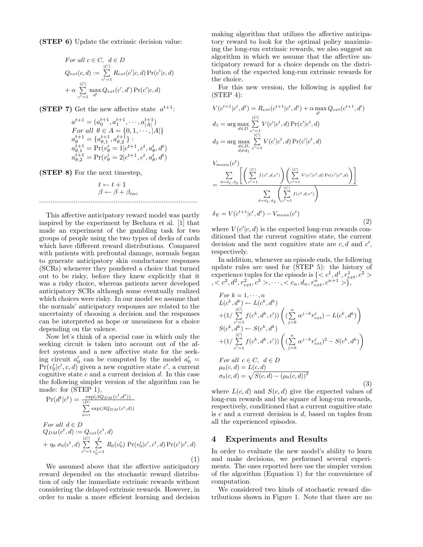(STEP 6) Update the extrinsic decision value:

For all 
$$
c \in C
$$
,  $d \in D$   
\n
$$
Q_{ext}(c,d) := \sum_{c'=1}^{|C|} R_{ext}(c'|c,d) \Pr(c'|c,d)
$$
\n
$$
+ \alpha \sum_{c'=1}^{|C|} \max_{d'} Q_{ext}(c',d') \Pr(c'|c,d)
$$

(STEP 7) Get the new affective state  $a^{t+1}$ :

$$
a^{t+1} = (a_0^{t+1}, a_1^{t+1}, \cdots, a_{|A|}^{t+1})
$$
  
For all  $\theta \in A = \{0, 1, \cdots, |A|\}$   
 $a_{\theta}^{t+1} = \{a_{\theta,1}^{t+1}, a_{\theta,2}^{t+1}\}$ :  
 $a_{\theta,1}^{t+1} = \Pr(v_{\theta}' = 1|c^{t+1}, c^t, a_{\theta}^t, d^t)$   
 $a_{\theta,2}^{t+1} = \Pr(v_{\theta}' = 2|c^{t+1}, c^t, a_{\theta}^t, d^t)$ 

(STEP 8) For the next timestep,

$$
t \leftarrow t + 1
$$

$$
\beta \leftarrow \beta + \beta_{inc}
$$

This affective anticipatory reward model was partly inspired by the experiment by Bechara et al. [1] that made an experiment of the gambling task for two groups of people using the two types of decks of cards which have different reward distributions. Compared with patients with prefrontal damage, normals began to generate anticipatory skin conductance responses (SCRs) whenever they pondered a choice that turned out to be risky, before they knew explicitly that it was a risky choice, whereas patients never developed anticipatory SCRs although some eventually realized which choices were risky. In our model we assume that the normals' anticipatory responses are related to the uncertainty of choosing a decision and the responses can be interpreted as hope or uneasiness for a choice depending on the valence.

Now let's think of a special case in which only the seeking circuit is taken into account out of the affect systems and a new affective state for the seeking circuit  $a'_0$  can be computed by the model  $a'_0$  =  $Pr(v'_0|c', c, d)$  given a new cognitive state  $c'$ , a current cognitive state  $c$  and a current decision  $d$ . In this case the following simpler version of the algorithm can be made: for (STEP 1),

$$
\Pr(d^t|c^t) = \frac{\exp(\beta Q_{DM}(c^t, d^t))}{\sum_{d=1}^{|D|} \exp(\beta Q_{DM}(c^t, d))}
$$
\n
$$
For all  $d \in D$
$$
\n
$$
Q_{DM}(c^t, d) := Q_{ext}(c^t, d)
$$
\n
$$
+ \eta_0 \sigma_0(c^t, d) \sum_{c'=1}^{|C|} \sum_{v'_0=1}^2 R_0(v'_0) \Pr(v'_0|c', c^t, d) \Pr(c'|c^t, d)
$$

We assumed above that the affective anticipatory reward depended on the stochastic reward distribution of only the immediate extrinsic rewards without considering the delayed extrinsic rewards. However, in order to make a more efficient learning and decision making algorithm that utilizes the affective anticipatory reward to look for the optimal policy maximizing the long-run extrinsic rewards, we also suggest an algorithm in which we assume that the affective anticipatory reward for a choice depends on the distribution of the expected long-run extrinsic rewards for the choice.

For this new version, the following is applied for  $(STEP 4)$ :

$$
V(c^{t+1}|c^t, d^t) = R_{ext}(c^{t+1}|c^t, d^t) + \alpha \max_{d'} Q_{ext}(c^{t+1}, d')
$$
  
\n
$$
d_1 = \arg \max_{d \in D} \sum_{c'=1}^{|C|} V(c'|c^t, d) \Pr(c'|c^t, d)
$$
  
\n
$$
d_2 = \arg \max_{\substack{d \in D, \\ d \neq d_1}} \sum_{c'=1}^{|C|} V(c'|c^t, d) \Pr(c'|c^t, d)
$$

$$
V_{mean}(c^{t}) = \frac{\sum_{d=d_{1}, d_{2}} \left[ \left( \sum_{c'=1}^{|C|} f(c^{t}, d, c') \right) \left( \sum_{c'=1}^{|C|} V(c'|c^{t}, d) \Pr(c'|c^{t}, d) \right) \right]}{\sum_{d=d_{1}, d_{2}} \left( \sum_{c'=1}^{|C|} f(c^{t}, d, c') \right)}
$$

$$
\delta_{E} = V(c^{t+1}|c^{t}, d^{t}) - V_{mean}(c^{t}) \tag{2}
$$

where  $V(c'|c, d)$  is the expected long-run rewards conditioned that the current cognitive state, the current decision and the next cognitive state are  $c, d$  and  $c'$ , respectively.

In addition, whenever an episode ends, the following update rules are used for (STEP 5): the history of experience tuples for the episode is  $\{ < c^1, d^1, r_{ext}^1, c^2 >$  $c < c<sup>2</sup>, d<sup>2</sup>, r<sub>ext</sub><sup>2</sup>, c<sup>3</sup>>, ..., < c<sub>n</sub>, d<sub>n</sub>, r<sub>ext</sub><sup>n</sup>, c<sup>n+1</sup> > \},$ 

$$
For k = 1, ..., n
$$
  
\n
$$
L(c^{k}, d^{k}) \leftarrow L(c^{k}, d^{k})
$$
  
\n
$$
+ (1/\sum_{c'=1}^{|C|} f(c^{k}, d^{k}, c')) \left( (\sum_{j=k}^{n} \alpha^{j-k} r_{ext}^{j}) - L(c^{k}, d^{k}) \right)
$$
  
\n
$$
S(c^{k}, d^{k}) \leftarrow S(c^{k}, d^{k})
$$
  
\n
$$
+ (1/\sum_{c'=1}^{|C|} f(c^{k}, d^{k}, c')) \left( (\sum_{j=k}^{n} \alpha^{j-k} r_{ext}^{j})^{2} - S(c^{k}, d^{k}) \right)
$$
  
\nFor all  $c \in C, d \in D$   
\n $\mu_{0}(c, d) = L(c, d)$ 

$$
\mu_0(c, d) = L(c, d)
$$
  
\n
$$
\sigma_0(c, d) = \sqrt{S(c, d) - (\mu_0(c, d))^2}
$$
\n(3)

where  $L(c, d)$  and  $S(c, d)$  give the expected values of long-run rewards and the square of long-run rewards, respectively, conditioned that a current cognitive state is  $c$  and a current decision is  $d$ , based on tuples from all the experienced episodes.

#### 4 Experiments and Results

(1)

In order to evaluate the new model's ability to learn and make decisions, we performed several experiments. The ones reported here use the simpler version of the algorithm (Equation 1) for the convenience of computation.

We considered two kinds of stochastic reward distributions shown in Figure 1. Note that there are no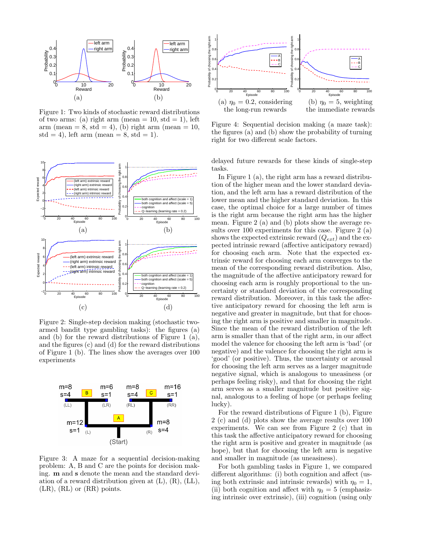

Figure 1: Two kinds of stochastic reward distributions of two arms: (a) right arm (mean  $= 10$ , std  $= 1$ ), left arm (mean  $= 8$ , std  $= 4$ ), (b) right arm (mean  $= 10$ , std = 4), left arm (mean = 8, std = 1).



Figure 2: Single-step decision making (stochastic twoarmed bandit type gambling tasks): the figures (a) and (b) for the reward distributions of Figure 1 (a), and the figures (c) and (d) for the reward distributions of Figure 1 (b). The lines show the averages over 100 experiments



Figure 3: A maze for a sequential decision-making problem: A, B and C are the points for decision making. m and s denote the mean and the standard deviation of a reward distribution given at  $(L)$ ,  $(R)$ ,  $(LL)$ , (LR), (RL) or (RR) points.



Figure 4: Sequential decision making (a maze task): the figures (a) and (b) show the probability of turning right for two different scale factors.

delayed future rewards for these kinds of single-step tasks.

In Figure 1 (a), the right arm has a reward distribution of the higher mean and the lower standard deviation, and the left arm has a reward distribution of the lower mean and the higher standard deviation. In this case, the optimal choice for a large number of times is the right arm because the right arm has the higher mean. Figure 2 (a) and (b) plots show the average results over 100 experiments for this case. Figure 2 (a) shows the expected extrinsic reward  $(Q_{ext})$  and the expected intrinsic reward (affective anticipatory reward) for choosing each arm. Note that the expected extrinsic reward for choosing each arm converges to the mean of the corresponding reward distribution. Also, the magnitude of the affective anticipatory reward for choosing each arm is roughly proportional to the uncertainty or standard deviation of the corresponding reward distribution. Moreover, in this task the affective anticipatory reward for choosing the left arm is negative and greater in magnitude, but that for choosing the right arm is positive and smaller in magnitude. Since the mean of the reward distribution of the left arm is smaller than that of the right arm, in our affect model the valence for choosing the left arm is 'bad' (or negative) and the valence for choosing the right arm is 'good' (or positive). Thus, the uncertainty or arousal for choosing the left arm serves as a larger magnitude negative signal, which is analogous to uneasiness (or perhaps feeling risky), and that for choosing the right arm serves as a smaller magnitude but positive signal, analogous to a feeling of hope (or perhaps feeling lucky).

For the reward distributions of Figure 1 (b), Figure 2 (c) and (d) plots show the average results over 100 experiments. We can see from Figure 2 (c) that in this task the affective anticipatory reward for choosing the right arm is positive and greater in magnitude (as hope), but that for choosing the left arm is negative and smaller in magnitude (as uneasiness).

For both gambling tasks in Figure 1, we compared different algorithms: (i) both cognition and affect (using both extrinsic and intrinsic rewards) with  $\eta_0 = 1$ , (ii) both cognition and affect with  $\eta_0 = 5$  (emphasizing intrinsic over extrinsic), (iii) cognition (using only